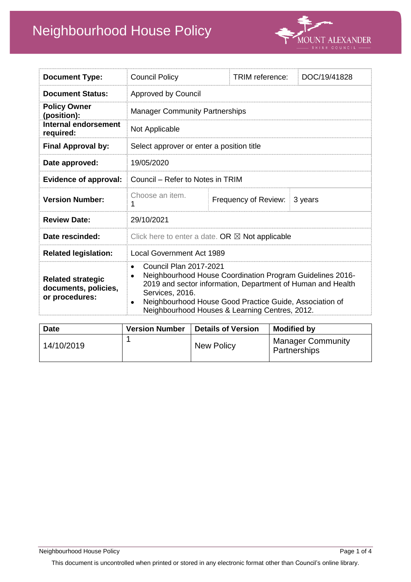# Neighbourhood House Policy



| <b>Document Type:</b>                                              | <b>Council Policy</b>                                                                                                                                                                                                                                                                                  |  | TRIM reference:      | DOC/19/41828 |  |
|--------------------------------------------------------------------|--------------------------------------------------------------------------------------------------------------------------------------------------------------------------------------------------------------------------------------------------------------------------------------------------------|--|----------------------|--------------|--|
| <b>Document Status:</b>                                            | Approved by Council                                                                                                                                                                                                                                                                                    |  |                      |              |  |
| <b>Policy Owner</b><br>(position):                                 | <b>Manager Community Partnerships</b>                                                                                                                                                                                                                                                                  |  |                      |              |  |
| <b>Internal endorsement</b><br>required:                           | Not Applicable                                                                                                                                                                                                                                                                                         |  |                      |              |  |
| <b>Final Approval by:</b>                                          | Select approver or enter a position title                                                                                                                                                                                                                                                              |  |                      |              |  |
| Date approved:                                                     | 19/05/2020                                                                                                                                                                                                                                                                                             |  |                      |              |  |
| <b>Evidence of approval:</b>                                       | Council – Refer to Notes in TRIM                                                                                                                                                                                                                                                                       |  |                      |              |  |
| <b>Version Number:</b>                                             | Choose an item.                                                                                                                                                                                                                                                                                        |  | Frequency of Review: | 3 years      |  |
| <b>Review Date:</b>                                                | 29/10/2021                                                                                                                                                                                                                                                                                             |  |                      |              |  |
| Date rescinded:                                                    | Click here to enter a date. OR $\boxtimes$ Not applicable                                                                                                                                                                                                                                              |  |                      |              |  |
| <b>Related legislation:</b>                                        | <b>Local Government Act 1989</b>                                                                                                                                                                                                                                                                       |  |                      |              |  |
| <b>Related strategic</b><br>documents, policies,<br>or procedures: | <b>Council Plan 2017-2021</b><br>$\bullet$<br>Neighbourhood House Coordination Program Guidelines 2016-<br>2019 and sector information, Department of Human and Health<br>Services, 2016.<br>Neighbourhood House Good Practice Guide, Association of<br>Neighbourhood Houses & Learning Centres, 2012. |  |                      |              |  |

| <b>Date</b> | <b>Version Number</b> | <b>Details of Version</b> | <b>Modified by</b>                       |
|-------------|-----------------------|---------------------------|------------------------------------------|
| 14/10/2019  |                       | New Policy                | <b>Manager Community</b><br>Partnerships |

This document is uncontrolled when printed or stored in any electronic format other than Council's online library.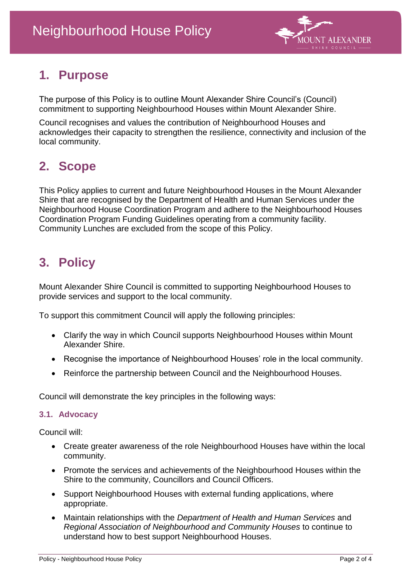

# **1. Purpose**

The purpose of this Policy is to outline Mount Alexander Shire Council's (Council) commitment to supporting Neighbourhood Houses within Mount Alexander Shire.

Council recognises and values the contribution of Neighbourhood Houses and acknowledges their capacity to strengthen the resilience, connectivity and inclusion of the local community.

# **2. Scope**

This Policy applies to current and future Neighbourhood Houses in the Mount Alexander Shire that are recognised by the Department of Health and Human Services under the Neighbourhood House Coordination Program and adhere to the Neighbourhood Houses Coordination Program Funding Guidelines operating from a community facility. Community Lunches are excluded from the scope of this Policy.

# **3. Policy**

Mount Alexander Shire Council is committed to supporting Neighbourhood Houses to provide services and support to the local community.

To support this commitment Council will apply the following principles:

- Clarify the way in which Council supports Neighbourhood Houses within Mount Alexander Shire.
- Recognise the importance of Neighbourhood Houses' role in the local community.
- Reinforce the partnership between Council and the Neighbourhood Houses.

Council will demonstrate the key principles in the following ways:

#### **3.1. Advocacy**

Council will:

- Create greater awareness of the role Neighbourhood Houses have within the local community.
- Promote the services and achievements of the Neighbourhood Houses within the Shire to the community, Councillors and Council Officers.
- Support Neighbourhood Houses with external funding applications, where appropriate.
- Maintain relationships with the *Department of Health and Human Services* and *Regional Association of Neighbourhood and Community Houses* to continue to understand how to best support Neighbourhood Houses.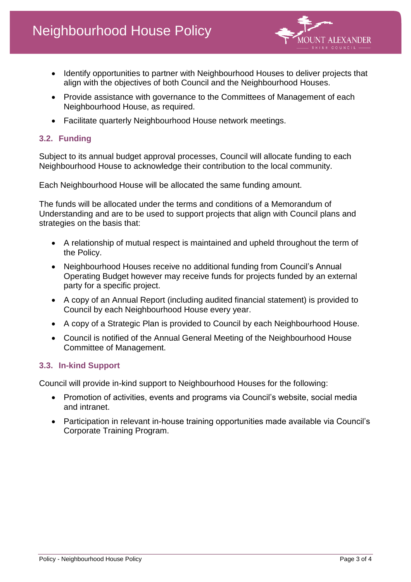

- Identify opportunities to partner with Neighbourhood Houses to deliver projects that align with the objectives of both Council and the Neighbourhood Houses.
- Provide assistance with governance to the Committees of Management of each Neighbourhood House, as required.
- Facilitate quarterly Neighbourhood House network meetings.

#### **3.2. Funding**

Subject to its annual budget approval processes, Council will allocate funding to each Neighbourhood House to acknowledge their contribution to the local community.

Each Neighbourhood House will be allocated the same funding amount.

The funds will be allocated under the terms and conditions of a Memorandum of Understanding and are to be used to support projects that align with Council plans and strategies on the basis that:

- A relationship of mutual respect is maintained and upheld throughout the term of the Policy.
- Neighbourhood Houses receive no additional funding from Council's Annual Operating Budget however may receive funds for projects funded by an external party for a specific project.
- A copy of an Annual Report (including audited financial statement) is provided to Council by each Neighbourhood House every year.
- A copy of a Strategic Plan is provided to Council by each Neighbourhood House.
- Council is notified of the Annual General Meeting of the Neighbourhood House Committee of Management.

#### **3.3. In-kind Support**

Council will provide in-kind support to Neighbourhood Houses for the following:

- Promotion of activities, events and programs via Council's website, social media and intranet.
- Participation in relevant in-house training opportunities made available via Council's Corporate Training Program.